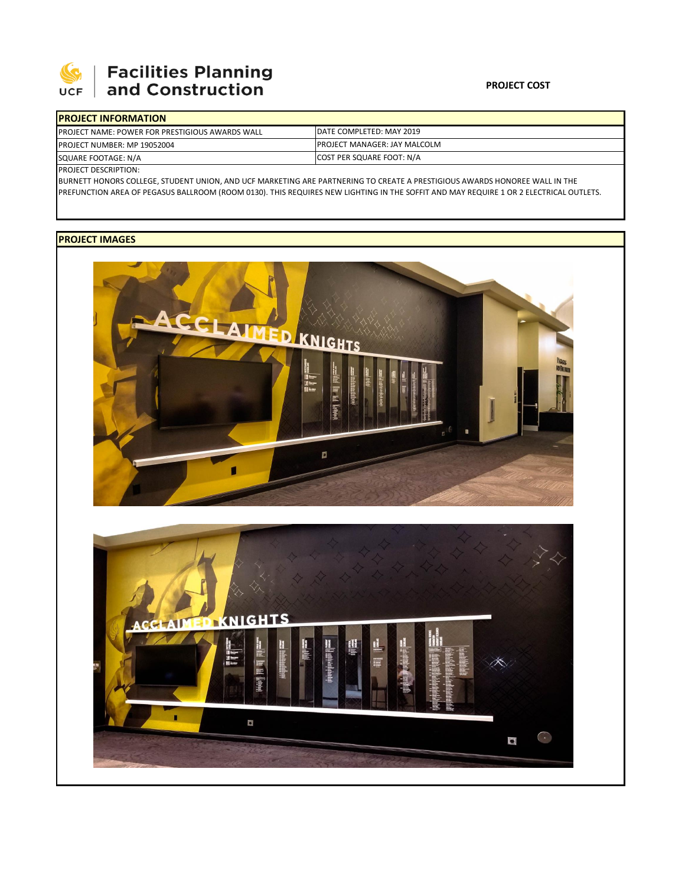

## **Facilities Planning<br>and Construction**

| <b>PROJECT INFORMATION</b>                                                                                    |                                      |  |  |  |
|---------------------------------------------------------------------------------------------------------------|--------------------------------------|--|--|--|
| <b>IPROJECT NAME: POWER FOR PRESTIGIOUS AWARDS WALL</b>                                                       | DATE COMPLETED: MAY 2019             |  |  |  |
| <b>PROJECT NUMBER: MP 19052004</b>                                                                            | <b>IPROJECT MANAGER: JAY MALCOLM</b> |  |  |  |
| SQUARE FOOTAGE: N/A                                                                                           | COST PER SQUARE FOOT: N/A            |  |  |  |
| $I_{\text{B}}$ $\sim$ $I_{\text{C}}$ $\sim$ $\sim$ $I_{\text{C}}$ $\sim$ $I_{\text{D}}$ $\sim$ $I_{\text{C}}$ |                                      |  |  |  |

PROJECT DESCRIPTION:

BURNETT HONORS COLLEGE, STUDENT UNION, AND UCF MARKETING ARE PARTNERING TO CREATE A PRESTIGIOUS AWARDS HONOREE WALL IN THE PREFUNCTION AREA OF PEGASUS BALLROOM (ROOM 0130). THIS REQUIRES NEW LIGHTING IN THE SOFFIT AND MAY REQUIRE 1 OR 2 ELECTRICAL OUTLETS.

## **PROJECT IMAGES**